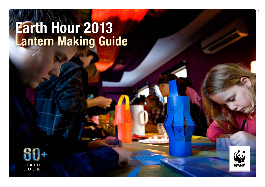# Earth Hour 2013 Lantern Making Guide



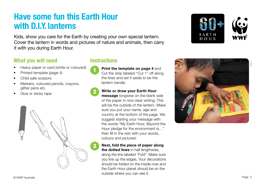# Have some fun this Earth Hour with D.I.Y. lanterns

Kids, show you care for the Earth by creating your own special lantern. Cover the lantern in words and pictures of nature and animals, then carry it with you during Earth Hour.

### What you will need

- Heavy paper or card (white or coloured)
- Printed template (page 4)
- Child safe scissors
- Markers, coloured pencils, crayons, glitter pens etc.
- Glue or sticky tape



### **Instructions**

- **Print the template on page 4 and** Cut the strip labeled "Cut 1" off along the lines and set it aside to be the lantern handle
- 2 **Write or draw your Earth Hour message** longwise on the blank side of the paper in nice clear writing. This will be the outside of the lantern. Make sure you put your name, age and country at the bottom of the page. We suggest starting your message with the words "My Earth Hour, Beyond the Hour pledge for the environment is..." then fill in the rest with your words, colours and pictures!

### 3 **Next, fold the piece of paper along the dotted lines** in half lengthwise.

along the line labeled "Fold". Make sure you line up the edges. Your decorations should be folded on the inside now and the Earth Hour planet should be on the outside where you can see it.



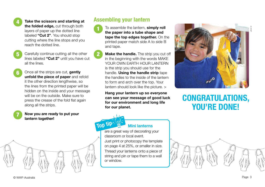

4 **Take the scissors and starting at the folded edge.** cut through both layers of paper up the dotted line labeled "Cut 2". You should stop cutting where the line stops and you

reach the dotted line.

- 
- Carefully continue cutting all the other lines labeled "Cut 2" until you have cut all the lines.

6 Once all the strips are cut, gently unfold the piece of paper and refold it the other direction lengthwise, so the lines from the printed paper will be hidden on the inside and your message will be on the outside. Make sure to press the crease of the fold flat again along all the strips.

### 7 **Now you are ready to put your lantern together!**



- To assemble the lantern, **simply roll the paper into a tube shape and tape the top edges together.** On the printed paper match side A to side B and tape.
	- **Make the handle.** The strip you cut off in the beginning with the words MAKE YOUR OWN FARTH HOUR LANTERN is the strip you should use for the handle. **Using the handle strip** tape the handles to the inside of the lantern to form and arch over the top. Your lantern should look like the picture.  $>$ 
		- **Hang your lantern up so everyone can see your message of good luck for our environment and long life for our planet.**



### **Mini lanterns**

are a great way of decorating your classroom or local event

Just print or photocopy the template on page 4 at 25%, or smaller in size. Thread your lanterns onto a piece of string and pin or tape them to a wall or window.



# CONGRATULATIONS, YOU'RE DONE!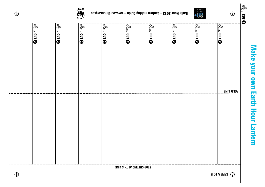# Make your own Earth Hour Lantern